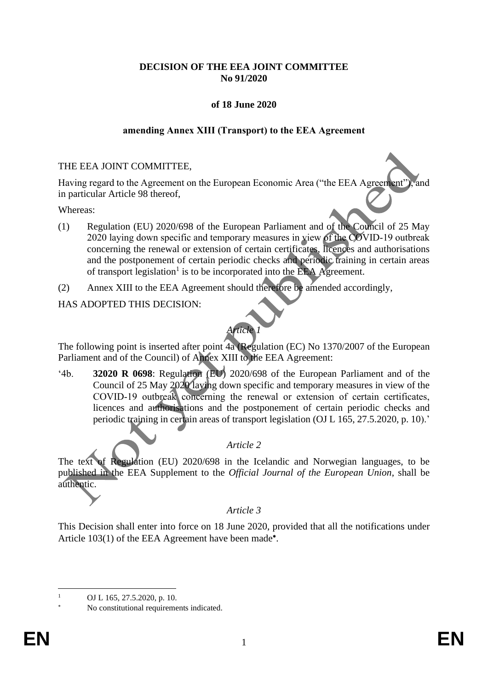## **DECISION OF THE EEA JOINT COMMITTEE No 91/2020**

# **of 18 June 2020**

## **amending Annex XIII (Transport) to the EEA Agreement**

## THE EEA JOINT COMMITTEE,

Having regard to the Agreement on the European Economic Area ("the EEA Agreement"), and in particular Article 98 thereof,

#### Whereas:

- (1) Regulation (EU) 2020/698 of the European Parliament and of the Council of 25 May 2020 laying down specific and temporary measures in view of the COVID‐19 outbreak concerning the renewal or extension of certain certificates, licences and authorisations and the postponement of certain periodic checks and periodic training in certain areas of transport legislation<sup>1</sup> is to be incorporated into the EEA Agreement.
- (2) Annex XIII to the EEA Agreement should therefore be amended accordingly,

HAS ADOPTED THIS DECISION:

# *Article 1*

The following point is inserted after point 4a (Regulation (EC) No 1370/2007 of the European Parliament and of the Council) of Annex XIII to the EEA Agreement:

'4b. **32020 R 0698**: Regulation (EU) 2020/698 of the European Parliament and of the Council of 25 May 2020 laying down specific and temporary measures in view of the COVID‐19 outbreak concerning the renewal or extension of certain certificates, licences and authorisations and the postponement of certain periodic checks and periodic training in certain areas of transport legislation (OJ L 165, 27.5.2020, p. 10).'

# *Article 2*

The text of Regulation (EU) 2020/698 in the Icelandic and Norwegian languages, to be published in the EEA Supplement to the *Official Journal of the European Union*, shall be authentic.

# *Article 3*

This Decision shall enter into force on 18 June 2020, provided that all the notifications under Article 103(1) of the EEA Agreement have been made\*.

OJ L 165, 27.5.2020, p. 10.

No constitutional requirements indicated.